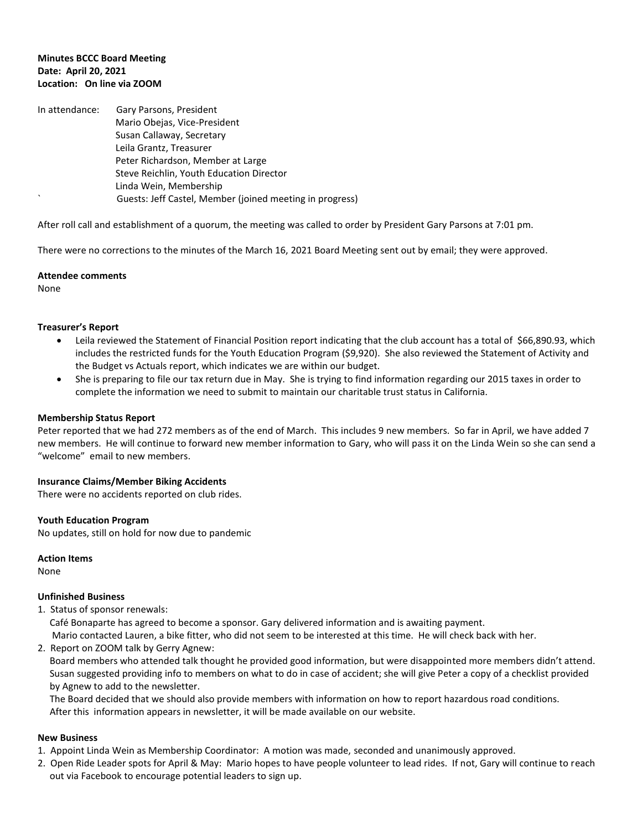## **Minutes BCCC Board Meeting Date: April 20, 2021 Location: On line via ZOOM**

In attendance: Gary Parsons, President Mario Obejas, Vice-President Susan Callaway, Secretary Leila Grantz, Treasurer Peter Richardson, Member at Large Steve Reichlin, Youth Education Director Linda Wein, Membership ` Guests: Jeff Castel, Member (joined meeting in progress)

After roll call and establishment of a quorum, the meeting was called to order by President Gary Parsons at 7:01 pm.

There were no corrections to the minutes of the March 16, 2021 Board Meeting sent out by email; they were approved.

#### **Attendee comments**

None

### **Treasurer's Report**

- Leila reviewed the Statement of Financial Position report indicating that the club account has a total of \$66,890.93, which includes the restricted funds for the Youth Education Program (\$9,920). She also reviewed the Statement of Activity and the Budget vs Actuals report, which indicates we are within our budget.
- She is preparing to file our tax return due in May. She is trying to find information regarding our 2015 taxes in order to complete the information we need to submit to maintain our charitable trust status in California.

### **Membership Status Report**

Peter reported that we had 272 members as of the end of March. This includes 9 new members. So far in April, we have added 7 new members. He will continue to forward new member information to Gary, who will pass it on the Linda Wein so she can send a "welcome" email to new members.

#### **Insurance Claims/Member Biking Accidents**

There were no accidents reported on club rides.

#### **Youth Education Program**

No updates, still on hold for now due to pandemic

#### **Action Items**

None

#### **Unfinished Business**

1. Status of sponsor renewals: Café Bonaparte has agreed to become a sponsor. Gary delivered information and is awaiting payment.

Mario contacted Lauren, a bike fitter, who did not seem to be interested at this time. He will check back with her.

2. Report on ZOOM talk by Gerry Agnew:

 Board members who attended talk thought he provided good information, but were disappointed more members didn't attend. Susan suggested providing info to members on what to do in case of accident; she will give Peter a copy of a checklist provided by Agnew to add to the newsletter.

 The Board decided that we should also provide members with information on how to report hazardous road conditions. After this information appears in newsletter, it will be made available on our website.

#### **New Business**

- 1. Appoint Linda Wein as Membership Coordinator: A motion was made, seconded and unanimously approved.
- 2. Open Ride Leader spots for April & May: Mario hopes to have people volunteer to lead rides. If not, Gary will continue to reach out via Facebook to encourage potential leaders to sign up.